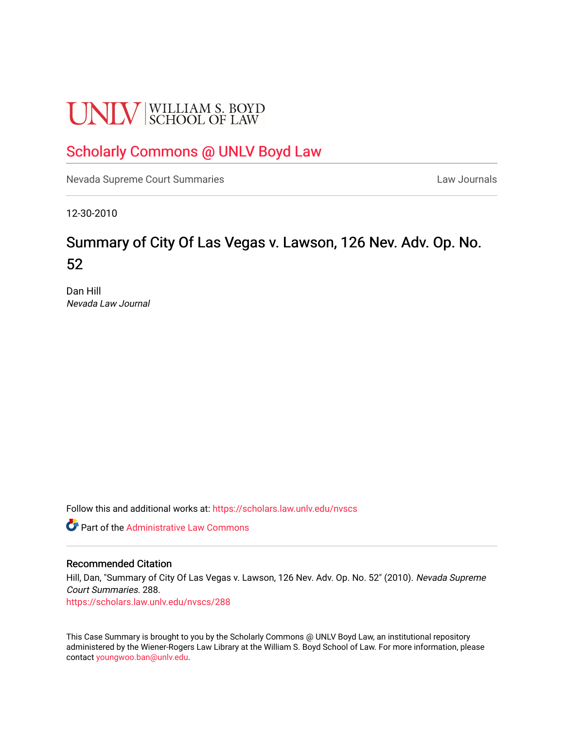# **UNLV** SCHOOL OF LAW

# [Scholarly Commons @ UNLV Boyd Law](https://scholars.law.unlv.edu/)

[Nevada Supreme Court Summaries](https://scholars.law.unlv.edu/nvscs) **Law Journals** Law Journals

12-30-2010

# Summary of City Of Las Vegas v. Lawson, 126 Nev. Adv. Op. No. 52

Dan Hill Nevada Law Journal

Follow this and additional works at: [https://scholars.law.unlv.edu/nvscs](https://scholars.law.unlv.edu/nvscs?utm_source=scholars.law.unlv.edu%2Fnvscs%2F288&utm_medium=PDF&utm_campaign=PDFCoverPages)

**C** Part of the Administrative Law Commons

#### Recommended Citation

Hill, Dan, "Summary of City Of Las Vegas v. Lawson, 126 Nev. Adv. Op. No. 52" (2010). Nevada Supreme Court Summaries. 288.

[https://scholars.law.unlv.edu/nvscs/288](https://scholars.law.unlv.edu/nvscs/288?utm_source=scholars.law.unlv.edu%2Fnvscs%2F288&utm_medium=PDF&utm_campaign=PDFCoverPages)

This Case Summary is brought to you by the Scholarly Commons @ UNLV Boyd Law, an institutional repository administered by the Wiener-Rogers Law Library at the William S. Boyd School of Law. For more information, please contact [youngwoo.ban@unlv.edu](mailto:youngwoo.ban@unlv.edu).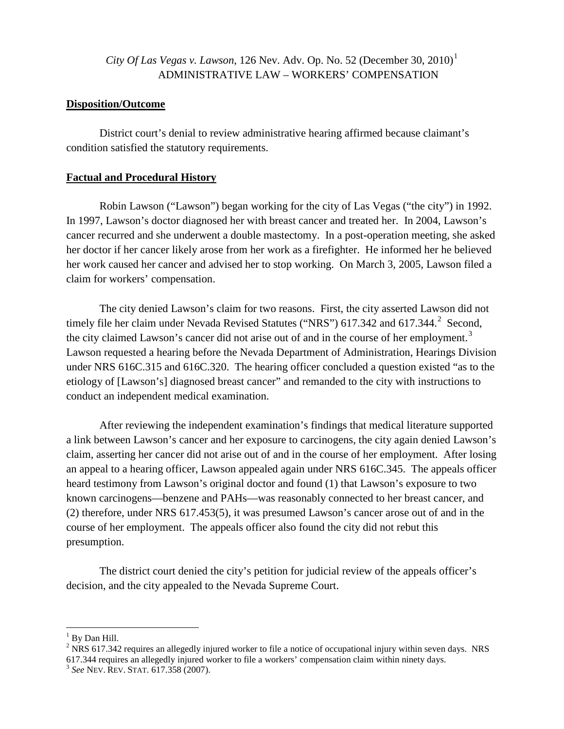# *City Of Las Vegas v. Lawson*, [1](#page-1-0)26 Nev. Adv. Op. No. 52 (December 30, 2010)<sup>1</sup> ADMINISTRATIVE LAW – WORKERS' COMPENSATION

#### **Disposition/Outcome**

District court's denial to review administrative hearing affirmed because claimant's condition satisfied the statutory requirements.

## **Factual and Procedural History**

Robin Lawson ("Lawson") began working for the city of Las Vegas ("the city") in 1992. In 1997, Lawson's doctor diagnosed her with breast cancer and treated her. In 2004, Lawson's cancer recurred and she underwent a double mastectomy. In a post-operation meeting, she asked her doctor if her cancer likely arose from her work as a firefighter. He informed her he believed her work caused her cancer and advised her to stop working. On March 3, 2005, Lawson filed a claim for workers' compensation.

The city denied Lawson's claim for two reasons. First, the city asserted Lawson did not timely file her claim under Nevada Revised Statutes ("NRS")  $617.342$  $617.342$  and  $617.344$ .<sup>2</sup> Second, the city claimed Lawson's cancer did not arise out of and in the course of her employment.<sup>[3](#page-1-2)</sup> Lawson requested a hearing before the Nevada Department of Administration, Hearings Division under NRS 616C.315 and 616C.320. The hearing officer concluded a question existed "as to the etiology of [Lawson's] diagnosed breast cancer" and remanded to the city with instructions to conduct an independent medical examination.

After reviewing the independent examination's findings that medical literature supported a link between Lawson's cancer and her exposure to carcinogens, the city again denied Lawson's claim, asserting her cancer did not arise out of and in the course of her employment. After losing an appeal to a hearing officer, Lawson appealed again under NRS 616C.345. The appeals officer heard testimony from Lawson's original doctor and found (1) that Lawson's exposure to two known carcinogens—benzene and PAHs—was reasonably connected to her breast cancer, and (2) therefore, under NRS 617.453(5), it was presumed Lawson's cancer arose out of and in the course of her employment. The appeals officer also found the city did not rebut this presumption.

The district court denied the city's petition for judicial review of the appeals officer's decision, and the city appealed to the Nevada Supreme Court.

<span id="page-1-0"></span> $<sup>1</sup>$  By Dan Hill.</sup>

<span id="page-1-1"></span> $2$  NRS 617.342 requires an allegedly injured worker to file a notice of occupational injury within seven days. NRS 617.344 requires an allegedly injured worker to file a workers' compensation claim within ninety days. 3 *See* NEV. REV. STAT. 617.358 (2007).

<span id="page-1-2"></span>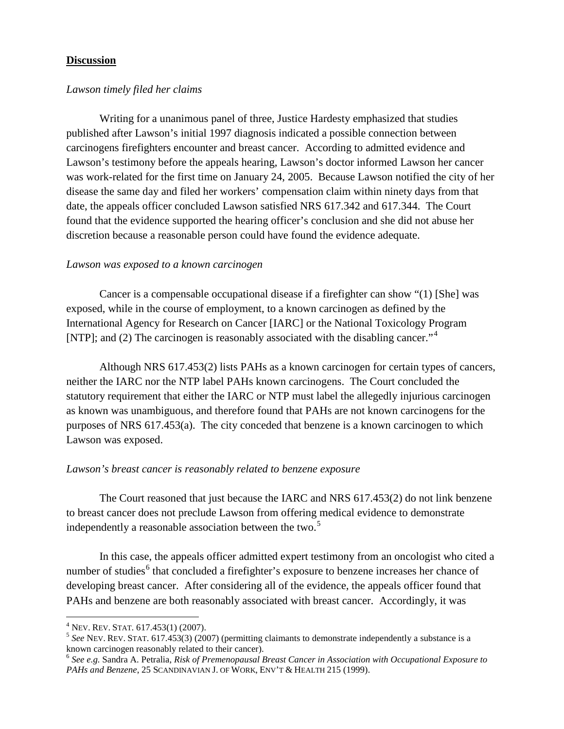### **Discussion**

#### *Lawson timely filed her claims*

Writing for a unanimous panel of three, Justice Hardesty emphasized that studies published after Lawson's initial 1997 diagnosis indicated a possible connection between carcinogens firefighters encounter and breast cancer. According to admitted evidence and Lawson's testimony before the appeals hearing, Lawson's doctor informed Lawson her cancer was work-related for the first time on January 24, 2005. Because Lawson notified the city of her disease the same day and filed her workers' compensation claim within ninety days from that date, the appeals officer concluded Lawson satisfied NRS 617.342 and 617.344. The Court found that the evidence supported the hearing officer's conclusion and she did not abuse her discretion because a reasonable person could have found the evidence adequate.

#### *Lawson was exposed to a known carcinogen*

Cancer is a compensable occupational disease if a firefighter can show "(1) [She] was exposed, while in the course of employment, to a known carcinogen as defined by the International Agency for Research on Cancer [IARC] or the National Toxicology Program [NTP]; and (2) The carcinogen is reasonably associated with the disabling cancer."<sup>[4](#page-2-0)</sup>

Although NRS 617.453(2) lists PAHs as a known carcinogen for certain types of cancers, neither the IARC nor the NTP label PAHs known carcinogens. The Court concluded the statutory requirement that either the IARC or NTP must label the allegedly injurious carcinogen as known was unambiguous, and therefore found that PAHs are not known carcinogens for the purposes of NRS 617.453(a). The city conceded that benzene is a known carcinogen to which Lawson was exposed.

#### *Lawson's breast cancer is reasonably related to benzene exposure*

The Court reasoned that just because the IARC and NRS 617.453(2) do not link benzene to breast cancer does not preclude Lawson from offering medical evidence to demonstrate independently a reasonable association between the two.<sup>[5](#page-2-1)</sup>

In this case, the appeals officer admitted expert testimony from an oncologist who cited a number of studies<sup>[6](#page-2-2)</sup> that concluded a firefighter's exposure to benzene increases her chance of developing breast cancer. After considering all of the evidence, the appeals officer found that PAHs and benzene are both reasonably associated with breast cancer. Accordingly, it was

 $4$  Nev. Rev. Stat. 617.453(1) (2007).

<span id="page-2-1"></span><span id="page-2-0"></span><sup>&</sup>lt;sup>5</sup> See NEV. REV. STAT. 617.453(3) (2007) (permitting claimants to demonstrate independently a substance is a known carcinogen reasonably related to their cancer).

<span id="page-2-2"></span><sup>6</sup> *See e.g.* Sandra A. Petralia, *Risk of Premenopausal Breast Cancer in Association with Occupational Exposure to PAHs and Benzene*, 25 SCANDINAVIAN J. OF WORK, ENV'T & HEALTH 215 (1999).